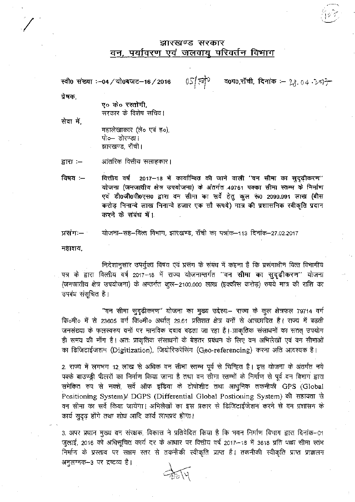## झारखण्ड सरकार वन, पर्यावरण एवं जलवायू परिवर्तन विभाग

रवी0 संख्या :-04/यो0बजट-16/2016 .  $05\sqrt[3]{77}$  व0प0,राँची, दिनांक :-  $28.04.257$ ो

प्रेषक,

ए० के० रस्तोगी. सरकार के विशेष सचिव।

सेवा में. महालेखाकार (ले**०** एवं ह०), पो०– डोरण्डा। झारखण्ड, राँची।

आंतरिक वित्तीय सलाहकार। द्वारा :-

विषय:-**2017—18 में कार्यान्वित की जाने वाली ''वन सीमा का**<br>जातीय क्षेत्र उपयोजना) के अंतर्गत 49751 पक्का सीमा स्त योजना (जनजातीय क्षेत्र उपयोजना) के अंतर्गत 49751 पक्का सीमा स्तम्भ के निर्माण एवं डी0जी0पी0एस0 द्वारा वन सीमा का सर्वे हेतु कुल रू0 2099.991 लाख (बीस लाख निनान्वे हजार एक सौ रूपये) मात्र की प्रशासनिक स्वीकृति करने के संबंध में 1.

योजना-सह-वित्त विभाग, झारखण्ड, राँची का पत्रांक-113 दिनांक-27.02.2017 प्रसंगः—

महाशय.

निदेशानुसार उपर्युक्त विषय एवं प्रसंग के संबंध में कहना है कि प्रसंगाधीन वित्त विभागीय पत्र के द्वारा वित्तीय वर्ष 2017–18 में राज्य योजनान्तर्गत "वन सीमा का सुदृढ़ीकरण" योजना (जनजातीय क्षेत्र उपयोजना) के अन्तर्गत कुल-2100,000 लाख (इक्कीस करोड़) रुपये मात्र की राशि का उपबंध संसूचित है।

तख्या पर कलस्वरुप पना पर भानापक दबाव बढ़ता जा रहा है। आकृतक सत्तावना पन ततत्<br>समय की माँग है। अतः प्राकृतिक संसाधनों के बेहतर प्रबंधन के लिए वन अभिलेखों एवं वन "वन सीमा सुदृढ़ीकरण" योजना का मुख्य उद्देश्यः– राज्य के कुल क्षेत्रफल 79714 23605 वर्ग कि०मी० अर्थात् 29.61 प्रतिशत क्षेत्र वनों वनों पर मानविक दबाव बढ़ता जा रहा है। प्राकृतिक संसाधनों का सतत् (Digitization), जियोरिफरेंसिंग (Geo-referencing) करना अति

2. राज्य में लगभग 12 लाख से अधिक वन सीमा स्तम्म पूर्व से चिन्हित है। इस योजना के अंतर्गत का निर्माण किया जाना है तथा वन सीमा स्तम्भों के निर्माण से समेकित रुप से नक्शे, सर्वे ऑफ इंडिया के टोपोशीट तथा आधुनिक तकनीकी GPS (Global Positioning System)/ DGPS (Differential Global Postioning System) की सहायता से वन सीमा का सर्वे किया जायेगा। अभिलेखों का इस प्रकार से डिजिटाईजेशन करने से वन प्रशासन के कार्य सुदृढ़ होंगे तथा शोध आदि कार्य लाभप्रद होगा।

3. अपर प्रधान मुख्य वन संरक्षक, विकास ने प्रतिवेदित किया है कि भवन निर्माण विभाग 2016 को अधिसूचित कार्य दर के आधार पर वित्तीय वर्ष 2017—18 में 3618 प्रति निर्माण के प्रस्ताव पर सक्षम स्तर से तकनीकी स्वीकृति प्राप्त है। तकनीकी स्वीकृति प्राप्त प्राक्कलन अनुलग्नक–3 पर द्रष्टव्य है।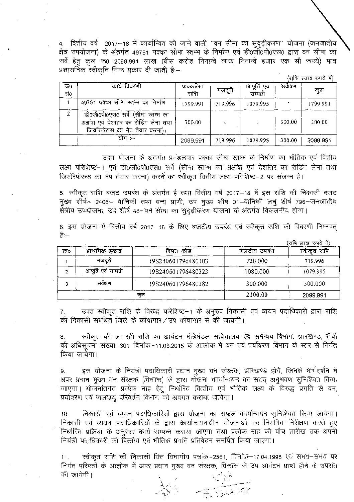4. वित्तीय वर्ष 2017–18 में कार्यान्वित की जाने वाली "वन सीमा का सुदृढ़ीकरण" योजना (जनजातीय क्षेत्र उपयोजना) के अंतर्गत 49751 पक्का सीमा स्तम्भ के निर्माण एवं डी0र्जी0पी0एस0 द्वारा वन सीमा का सर्वे हेतु कुल रू0 2099.991 लाख (बीस करोड़ निनान्वे लाख निनान्वे हजार एक सौ रूपये) मात्र<br>प्रशासनिक स्वीकृति निम्न प्रकार दी जाती हैः—

(राशि लाख रुपये में)

| क0<br>सं0 | कार्य विवरणी                                                                                                     | प्राक्कलित<br>राशि | मजदूरी  | आपूर्ति एवं<br>सामग्री | सर्वेक्षण | कुल      |
|-----------|------------------------------------------------------------------------------------------------------------------|--------------------|---------|------------------------|-----------|----------|
|           | 49751 पक्का सीमा स्तम्भ का निर्माण                                                                               | 1799.991           | 719.996 | 1079.995               |           | 1799.991 |
| 2         | डी०जी०पी०एस० सर्वे (सीमा स्तम्भ का<br>अक्षांश एवं देशांतर का रीडिंग लेना तथा<br>जियॉरेफेरन्स का मैप तैयार करना)। | 300.00             |         |                        | 300.00    | 300.00   |
|           | योग :--                                                                                                          | 2099.991           | 719.996 | 1079.995               | 300.00    | 2099.991 |

3i'd<sup>j</sup> fd qf5T ^i)frl0 ^ f ?—1 एवं डी0जी0पी0एस0 सर्वे (सीमा स्तम्भ का अक्षांश एवं देशांतर का रीडिंग लेना ्एव डा0जा0पा0एस0 सव (सामा स्तम्भ का अक्षाश एवं दशातर का रााङग<br>मैप तैयार करना) करने का स्वीकृत वित्तीय लक्ष्य परिशिष्ट–2 पर संलग्न है।

5. स्वीकृत राशि बजट उपबंध के अंतर्गत है तथा वित्तीय वर्ष 2017—18 में इस राशि — 2406— वानिकी तथा वन्य प्राणी, उप मुख्य शीर्ष 01—वानिकी लघु शीर्ष 796— ग तथा क्य प्राणा, ७५ नुख्य शाप ठा–पानिक<br>48--वन सीमा का सुदृढ़ीकरण योजना के अंतर्गत

6. इस योजना में वित्तीय वर्ष 2017—18 है:—

|     |                     |                    |             | (राषि लाख रुपये में) |
|-----|---------------------|--------------------|-------------|----------------------|
| ফি০ | प्राथमिक इकाई       | विपत्र कोड         | बजटीय उपवंध | राषि<br>स्वीकत       |
|     | मजदरी               | 19S240601796480103 | 720.000     | 719.996              |
|     | आपूर्ति एवं सामग्री | 19S240601796480323 | 1080.000    | 1079.995             |
|     | सर्वेक्षण           | 19S240601796480382 | 300.000     | 300,000              |
| कुल |                     | 2100.00            | 2099.991    |                      |

7. की निकासी संबंधित जिले के कोषागार/उप कोषागार से की जायेगी। उक्त स्वीकृत राशि के विरुद्ध परिशिष्ट–1 के अनुरुप निकासी एवं व्ययन पदाधिकारी द्वारा राशि

8. का आवंटन मंत्रिमंडल सचिवालय एवं समन्वय विभाग, को अधिसूचना संख्या–301 दिनाक–11.03.2015 किया जायेगा।

9. इस याजना के नियंत्रा पदाधिकारा प्रधान जाएगा। योजनांतर्गत प्रत्येक माह हेतु निर्धारित वित्तीय एवं भौतिक पर्यावरण एवं जलवायु परिवर्तन विभाग को अवगत कराया जायेगा। ch l

निकासी एवं व्ययन पदाधिकारियों द्वारा योजना का सफल कार्यान्वयन सुनिश्चित किया जायेगा। 10. निकासी एवं व्ययन पदाधिकारियों द्वारा योजना का सफल कार्यान्वयन सुनिश्चित किया जायेगा।<br>निकासी एवं व्ययन पदाधिकारियों के द्वारा कार्यान्वयनाधीन योजनाओं का नियमित निरीक्षण करते हुए निर्धारित प्रक्रिया के अनुसार कार्य सम्पन्न कराया जाएगा तथा प्रत्येक माह की पाँच तारीख तक अपनी नियंत्री पदाधिकारी को वित्तीय एवं भौतिक प्रगति प्रतिवेदन समर्पित किया जाएगा।

11. निर्गत परिपत्रों के आलोक में अपर प्रधान मुख्य वन की जायेगी। वित्तं विभागीयं पत्रांक—2561, दिनाक—17.04.1998 एवं समय—समय

> $A \wedge$  , - -a?'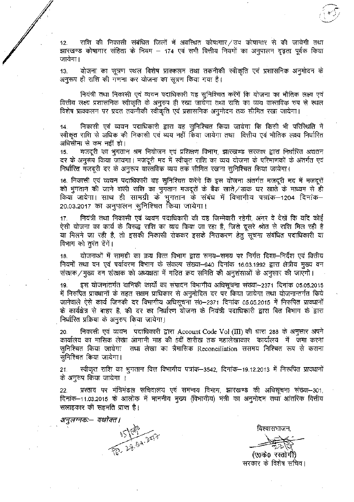12. राशि की निकासी संबंधित जिलों में अवस्थित कोषागार/ उप कोषागार से की जायेगी तथा झारखण्ड कोषागार संहिता के नियम – 174 एवं सभी वित्तीय नियमों का अनुपालन दृढ़ता पूर्वक किया जायेगा।

13. याजना का सूत्रण स्थल विशेष प्राक्कलन तथा तकनाक<br>ही राशि की गणना कर योजना का सूत्रण किया गया है।

i व्ययन पदाधिकारी य<mark>ह</mark> वित्तीय लक्ष्य प्रशासनिक स्वीकृति के अनुरुप ही रखा जायेगा तथा राशि का व्यय वास्तविक रुप से स्थल विशेष प्राक्कलन पर प्रदत तकनीकी स्वीकृति एवं प्रशासनिक अनुमोदन तक सीमित रखा जायेगा।

निकासी एवं व्ययन पदाधिकारी द्वारा यह सुनिश्चित किया जायेगा कि किसी भी परिस्थिति में 14. स्वीकृत राशि से अधिक की निकासी एवं व्यय नहीं किया जायेगा तथा वित्तीय एवं भौतिक लक्ष्य निर्धारित अधिसीमा से कम नहीं हो।

15. मजदूरी का भुगतान श्रम नियोजन एवं प्रशिक्षण विभाग, जायगा। मजदूरी मद में स्वीकृत राशि का निर्धारित मजदूरी दर के अनुरूप वास्तविक व्यय तक सीमित रखना सुनिश्चित किया जायेगा।

16. निकासी एवं व्ययन पदाधिकारी यह सुनिश्चित करेंगे कि इस योजना अंतर्गत मजदूरी मद में मजदूरों को भुगतान की जाने वाली राशि का भुगतान मजदूरों के बैंक खाते/डाक घर खाते के माध्यम से ही 20.03.2017 का अनुपालन सुनिश्चित किया जायेगा। कियाँ जायेगा। साथ ही सामग्री के भुगतान के संबंध में विभागीय पत्रांक-1204 दिनांक-

17. . <u>-</u><br>एवं व्ययन पदाधिकारी की यह जिम्मेवारी रहेगी, अंगर वे देखें कि यदि TlflT v3TT ^ t, eft fcf^fj w T?T t, t^loT

18. - योजनाओं में सामग्री का क्रय वित्त विभाग द्वारा समय—समय पर निर्गत दिशा— .<br>संख्या–940 दिनांक 16.03.1992 संरक्षक / मुख्य वन संरक्षक को अध्यक्षता में गठित क्रय समिति की अनुशंसाओं के अनुसार की जाएगी।

19. इस योजनांतर्गत वानिकी कार्यों का संपादन विभागीय अधिसूचना संख्या–2371 दिनांक 05.05.2015 में निरुपित प्रावधानों के तहत सक्षम प्राधिकार से अनुमोदित दर पर किया जायेगा तथा योजनान्तर्गत किये जानेवाले ऐसे कार्य जिनकी दर विभागीय अधिसूचना सं0–2371 दिनांक 05.05.2015 में निरुपित प्रावधानों के कार्यक्षेत्र से बाहर है, की दर का निर्धारण योजना के नियंत्री पदाधिकारी द्वारा वित विभाग के द्वारा निर्धारित प्रक्रिया के अनुरुप किया जायेगा।

20. निकासी एवं व्ययन पदाधिकारी द्वारा Account Code Vol (III) की धारा 288 के अनुसार अपने कार्यालय का मासिक लेखा आगामी माह की 5वीं तारीख तक महालेखाकार कार्यालय में जमा करना सुनिश्चित किया जायेगा )तथा लेखा का त्रैमासिक Reconciliation ससमय निश्चित रूप से कराना सनिश्चित किया जायेगा।

स्वीकृत राशि का भुगतान वित्त विभागीय पत्रांक—3542, दिनांक—19.12.2013 में निरूपित प्रावधानों 21. के अनुरुप किया जायेगा ।

प्रस्ताव पर मंत्रिमंडल सचिवालय एवं समन्वय विभाग, झारखण्ड की अधिसूचना संख्या-301, 22. दिनांक–11.03.2015 के आलोक में माननीय मुख्य (विभागीय) मंत्री का अनुमोदन तथा आंतरिक वित्तीय सलाहकार की सहमति प्राप्त है।

अनुलग्नक:— यथोक्त। 15 (28.04.25)?

विश्वासभाजन,

(ए०के० रस्तोगीं) सरकार के विशेष सचिव।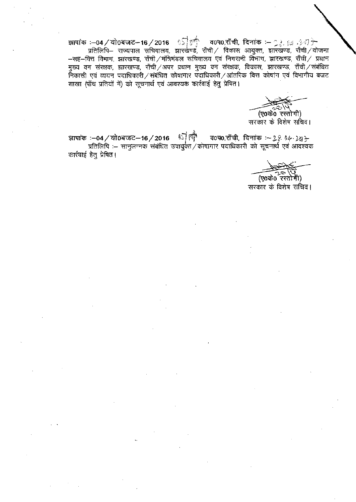मुख्य वन संरक्षक, झारखण्ड, राँची/अपर प्रधान मुख्य वन संरक्षक, विकास, झारखण्ड, राँची/संबंधित<br>निकासी एवं व्ययन पदाधिकारी/संबंधित कोषागार पदाधिकारी/आंतरिक वित्त कोषांग एवं विभागीय बजट शाखा (पाँच प्रतियों में) को सूचनार्थ एवं आवश्यक कार्रवाई हेतु प्रेषित।

(ए0के0 रस्तोगी) सरकार के विशेष सचिव।

াচালী ज्ञापांक :—04 / यो0बजट—16 / 2016 <sup>अत्री</sup> व0प0,राँची, दिनांक :— २.९ १३- )अ<sub>.</sub><br>प्रतिलिपि :— सानुलग्नक संबंधित उपायुक्त / कोषागार पदाधिकारी को सूचनार्थ एवं आवश्यक कार्रवाई हेत् प्रेषित।

(ए0के0 रस्तोगी)

सरकार के विशेष सचिव।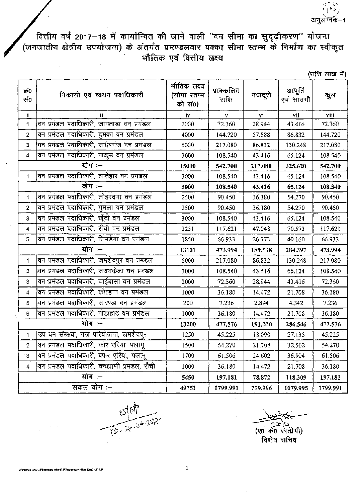वित्तीय वर्ष 2017—18 में कार्यान्वित की जाने वाली ''वन सीमा का सुदृढ़ीकरण'' योजना<br>(जनजातीय क्षेत्रीय उपयोजना) के अंतर्गत प्रमण्डलवार पक्का सीमा स्तम्म के निर्माण का स्वीकृत<br>भौतिक एवं वित्तीय लक्ष्य

(राशि लाख में)

| क0<br>सं०        | निकासी एवं व्ययन पदाधिकारी                      | भौतिक लक्ष्य<br>(सीमा स्तम्भ<br>की सं0) | प्राक्कलित<br>राशि | मजदूरी  | आपूर्ति<br>एवं साम्रगी | कुल      |
|------------------|-------------------------------------------------|-----------------------------------------|--------------------|---------|------------------------|----------|
| i                | ii.                                             | iv                                      | V                  | vi      | vii                    | viii     |
| 1                | .<br>वन प्रमंडल पदाधिकारी, जामताड़ा वन प्रमंडल  | 2000                                    | 72.360             | 28.944  | 43.416                 | 72.360   |
| 2                | वन प्रमंडल पदाधिकारी, दुमका वन प्रमंडल          | 4000                                    | 144.720            | 57.888  | 86.832                 | 144.720  |
| 3                | वन प्रमंडल पदाधिकारी, साहेबगंज वन प्रमंडल       | 6000                                    | 217.080            | 86.832  | 130.248                | 217.080  |
| 4                | <u>वन प्रमंडल पदाधिकारी, पाकुड़ दन प्रमंडल</u>  | 3000                                    | 108.540            | 43.416  | 65.124                 | 108.540  |
|                  | योग :-                                          | 15000                                   | 542.700            | 217.080 | 325.620                | 542.700  |
| 1                | वन प्रमंडल पदाधिकारी, लातेहार वन प्रमंडल        | 3000                                    | 108.540            | 43.416  | 65.124                 | 108.540  |
|                  | योग :--                                         | 3000                                    | 108.540            | 43.416  | 65.124                 | 108.540  |
| 1                | वन प्रमंडल पदाधिकारी, लोहरदगा वन प्रमंडल        | 2500                                    | 90.450             | 36.180  | 54.270                 | 90.450   |
| $\overline{2}$   | वन प्रमंडल पदाधिकारी, गुमला वन प्रमंडल          | 2500                                    | 90.450             | 36.180  | 54.270                 | 90.450   |
| 3                | वन प्रमंडल पदाधिकारी, खूँटी वन प्रमंडल          | 3000                                    | 108.540            | 43.416  | 65.124                 | 108.540  |
| 4                | वन प्रमंडल पदाधिकारी, राँची वन प्रमंडल          | 3251                                    | 117.621            | 47.048  | 70.573                 | 117.621  |
| 5                | वन प्रमंडल पदाधिकारी, सिमडेगा वन प्रमंडल        | 1850                                    | 66.933             | 26.773  | 40.160                 | 66.933   |
| योग —            |                                                 | 13101                                   | 473.994            | 189.598 | 284.397                | 473.994  |
| 1                | वन प्रमंडल पदाधिकारी, जमशेदपुर वन प्रमंडल       | 6000                                    | 217.080            | 86.832  | 130.248                | 217.080  |
| $\overline{2}$   | वन प्रमंडल पदाधिकारी, सरायकेला वन प्रमंडल       | 3000                                    | 108.540            | 43.416  | 65.124                 | 108.540  |
| 3                | वन प्रमंडल पदाधिकारी, चाईबासा वन प्रमंडल        | 2000                                    | 72.360             | 28.944  | 43.416                 | 72.360   |
| 4                | वन प्रमंडल पदाधिकारी, कोल्हान वन प्रमंडल        | 1000                                    | 36.180             | 14.472  | 21.708                 | 36.180   |
| 5                | वन प्रमंडल पदाधिकारी, सारण्डा वन प्रमंडल        | 200                                     | 7.236              | 2.894   | 4.342                  | 7.236    |
| $\boldsymbol{6}$ | वन प्रमंडल पदाधिकारी, पोड़ाहाट वन प्रमंडल       | 1000                                    | 36.180             | 14.472  | 21.708                 | 36.180   |
| योग :-           |                                                 | 13200                                   | 477.576            | 191.030 | 286.546                | 477.576  |
| $\mathbf{1}$     | उप वन संरक्षक, गज परियोजना, जमशेदपुर            | 1250                                    | 45.225             | 18.090  | 27.135                 | 45.225   |
| 2                | वन प्रमंडल पदाधिकारी, कोर एरिया, पलामू          | 1500                                    | 54,270             | 21.708  | 32.562                 | 54.270   |
| $\overline{3}$   | वन प्रमंडल पदाधिकारी, बफर एरिया, पलामू          | 1700                                    | 61.506             | 24.602  | 36.904                 | 61.506   |
| 4                | वन प्रमंडल पदाधिकारी, वन्यप्राणी प्रमंडल, राँची | 1000                                    | 36.180             | 14.472  | 21.708                 | 36.180   |
| योग:-            |                                                 | 5450                                    | 197.181            | 78.872  | 118.309                | 197.181  |
| सकल योग :--      |                                                 | 49751                                   | 1799.991           | 719.996 | 1079.995               | 1799.991 |

15日 2517

विशेष सचिव

G:\Parstay 2017-18\Boundary Piller (TSP)\Boundary Pillars (2017-18) TSF